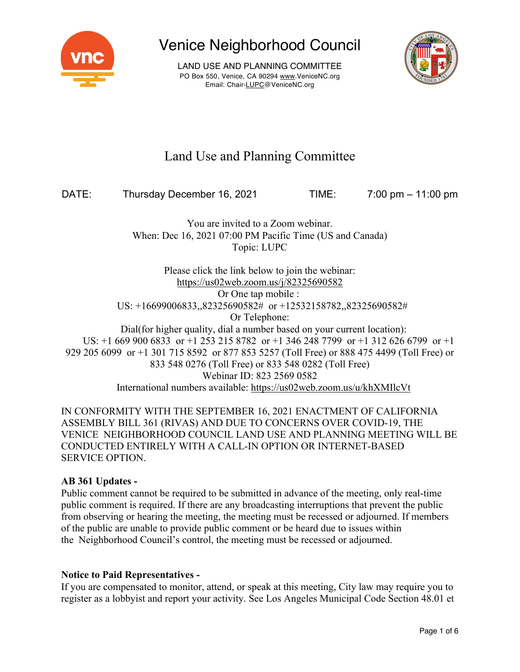

LAND USE AND PLANNING COMMITTEE PO Box 550, Venice, CA 90294 www.VeniceNC.org Email: Chair-LUPC@VeniceNC.org



## Land Use and Planning Committee

DATE: Thursday December 16, 2021 TIME: 7:00 pm – 11:00 pm

You are invited to a Zoom webinar. When: Dec 16, 2021 07:00 PM Pacific Time (US and Canada) Topic: LUPC

Please click the link below to join the webinar: https://us02web.zoom.us/j/82325690582 Or One tap mobile : US: +16699006833,,82325690582# or +12532158782,,82325690582# Or Telephone: Dial(for higher quality, dial a number based on your current location): US: +1 669 900 6833 or +1 253 215 8782 or +1 346 248 7799 or +1 312 626 6799 or +1 929 205 6099 or +1 301 715 8592 or 877 853 5257 (Toll Free) or 888 475 4499 (Toll Free) or 833 548 0276 (Toll Free) or 833 548 0282 (Toll Free) Webinar ID: 823 2569 0582 International numbers available: https://us02web.zoom.us/u/khXMIlcVt

IN CONFORMITY WITH THE SEPTEMBER 16, 2021 ENACTMENT OF CALIFORNIA ASSEMBLY BILL 361 (RIVAS) AND DUE TO CONCERNS OVER COVID-19, THE VENICE NEIGHBORHOOD COUNCIL LAND USE AND PLANNING MEETING WILL BE CONDUCTED ENTIRELY WITH A CALL-IN OPTION OR INTERNET-BASED SERVICE OPTION.

### **AB 361 Updates -**

Public comment cannot be required to be submitted in advance of the meeting, only real-time public comment is required. If there are any broadcasting interruptions that prevent the public from observing or hearing the meeting, the meeting must be recessed or adjourned. If members of the public are unable to provide public comment or be heard due to issues within the Neighborhood Council's control, the meeting must be recessed or adjourned.

### **Notice to Paid Representatives -**

If you are compensated to monitor, attend, or speak at this meeting, City law may require you to register as a lobbyist and report your activity. See Los Angeles Municipal Code Section 48.01 et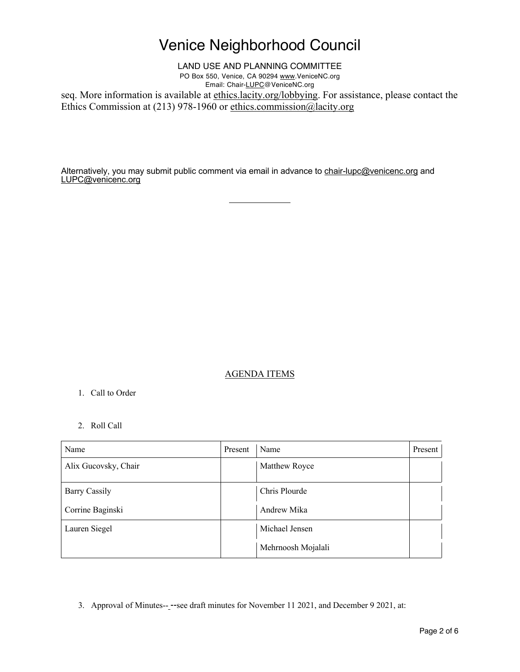LAND USE AND PLANNING COMMITTEE PO Box 550, Venice, CA 90294 www.VeniceNC.org Email: Chair-LUPC@VeniceNC.org

seq. More information is available at ethics.lacity.org/lobbying. For assistance, please contact the Ethics Commission at (213) 978-1960 or ethics.commission@lacity.org

Alternatively, you may submit public comment via email in advance to chair-lupc@venicenc.org and LUPC@venicenc.org

### AGENDA ITEMS

#### 1. Call to Order

#### 2. Roll Call

| Name                 | Present | Name               | Present |
|----------------------|---------|--------------------|---------|
| Alix Gucovsky, Chair |         | Matthew Royce      |         |
| <b>Barry Cassily</b> |         | Chris Plourde      |         |
| Corrine Baginski     |         | Andrew Mika        |         |
| Lauren Siegel        |         | Michael Jensen     |         |
|                      |         | Mehrnoosh Mojalali |         |

3. Approval of Minutes-- --see draft minutes for November 11 2021, and December 9 2021, at: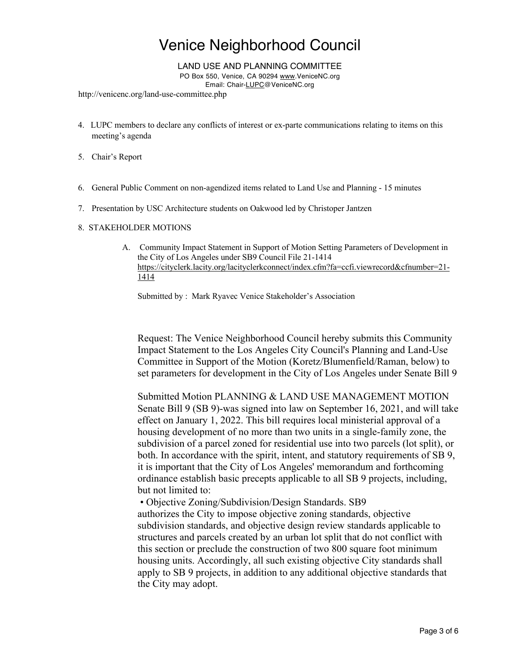LAND USE AND PLANNING COMMITTEE

PO Box 550, Venice, CA 90294 www.VeniceNC.org

Email: Chair-LUPC@VeniceNC.org

http://venicenc.org/land-use-committee.php

- 4. LUPC members to declare any conflicts of interest or ex-parte communications relating to items on this meeting's agenda
- 5. Chair's Report
- 6. General Public Comment on non-agendized items related to Land Use and Planning 15 minutes
- 7. Presentation by USC Architecture students on Oakwood led by Christoper Jantzen

#### 8. STAKEHOLDER MOTIONS

A. Community Impact Statement in Support of Motion Setting Parameters of Development in the City of Los Angeles under SB9 Council File 21-1414 https://cityclerk.lacity.org/lacityclerkconnect/index.cfm?fa=ccfi.viewrecord&cfnumber=21- 1414

Submitted by : Mark Ryavec Venice Stakeholder's Association

Request: The Venice Neighborhood Council hereby submits this Community Impact Statement to the Los Angeles City Council's Planning and Land-Use Committee in Support of the Motion (Koretz/Blumenfield/Raman, below) to set parameters for development in the City of Los Angeles under Senate Bill 9

Submitted Motion PLANNING & LAND USE MANAGEMENT MOTION Senate Bill 9 (SB 9)-was signed into law on September 16, 2021, and will take effect on January 1, 2022. This bill requires local ministerial approval of a housing development of no more than two units in a single-family zone, the subdivision of a parcel zoned for residential use into two parcels (lot split), or both. In accordance with the spirit, intent, and statutory requirements of SB 9, it is important that the City of Los Angeles' memorandum and forthcoming ordinance establish basic precepts applicable to all SB 9 projects, including, but not limited to:

• Objective Zoning/Subdivision/Design Standards. SB9 authorizes the City to impose objective zoning standards, objective subdivision standards, and objective design review standards applicable to structures and parcels created by an urban lot split that do not conflict with this section or preclude the construction of two 800 square foot minimum housing units. Accordingly, all such existing objective City standards shall apply to SB 9 projects, in addition to any additional objective standards that the City may adopt.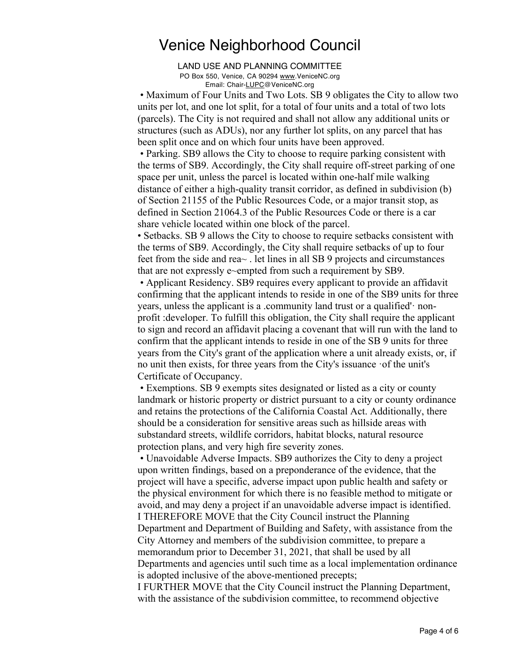LAND USE AND PLANNING COMMITTEE PO Box 550, Venice, CA 90294 www.VeniceNC.org Email: Chair-LUPC@VeniceNC.org

• Maximum of Four Units and Two Lots. SB 9 obligates the City to allow two units per lot, and one lot split, for a total of four units and a total of two lots (parcels). The City is not required and shall not allow any additional units or structures (such as ADUs), nor any further lot splits, on any parcel that has been split once and on which four units have been approved.

• Parking. SB9 allows the City to choose to require parking consistent with the terms of SB9. Accordingly, the City shall require off-street parking of one space per unit, unless the parcel is located within one-half mile walking distance of either a high-quality transit corridor, as defined in subdivision (b) of Section 21155 of the Public Resources Code, or a major transit stop, as defined in Section 21064.3 of the Public Resources Code or there is a car share vehicle located within one block of the parcel.

• Setbacks. SB 9 allows the City to choose to require setbacks consistent with the terms of SB9. Accordingly, the City shall require setbacks of up to four feet from the side and rea~ . let lines in all SB 9 projects and circumstances that are not expressly e~empted from such a requirement by SB9.

• Applicant Residency. SB9 requires every applicant to provide an affidavit confirming that the applicant intends to reside in one of the SB9 units for three years, unless the applicant is a .community land trust or a qualified'· nonprofit :developer. To fulfill this obligation, the City shall require the applicant to sign and record an affidavit placing a covenant that will run with the land to confirm that the applicant intends to reside in one of the SB 9 units for three years from the City's grant of the application where a unit already exists, or, if no unit then exists, for three years from the City's issuance ·of the unit's Certificate of Occupancy.

• Exemptions. SB 9 exempts sites designated or listed as a city or county landmark or historic property or district pursuant to a city or county ordinance and retains the protections of the California Coastal Act. Additionally, there should be a consideration for sensitive areas such as hillside areas with substandard streets, wildlife corridors, habitat blocks, natural resource protection plans, and very high fire severity zones.

• Unavoidable Adverse Impacts. SB9 authorizes the City to deny a project upon written findings, based on a preponderance of the evidence, that the project will have a specific, adverse impact upon public health and safety or the physical environment for which there is no feasible method to mitigate or avoid, and may deny a project if an unavoidable adverse impact is identified. I THEREFORE MOVE that the City Council instruct the Planning

Department and Department of Building and Safety, with assistance from the City Attorney and members of the subdivision committee, to prepare a memorandum prior to December 31, 2021, that shall be used by all Departments and agencies until such time as a local implementation ordinance is adopted inclusive of the above-mentioned precepts;

I FURTHER MOVE that the City Council instruct the Planning Department, with the assistance of the subdivision committee, to recommend objective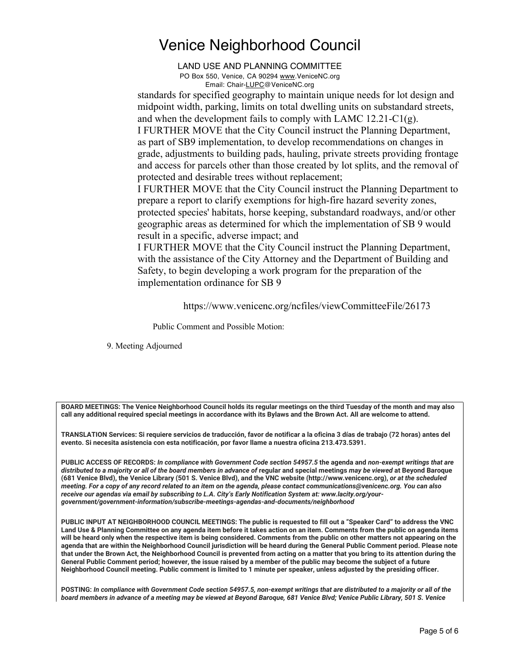LAND USE AND PLANNING COMMITTEE PO Box 550, Venice, CA 90294 www.VeniceNC.org Email: Chair-LUPC@VeniceNC.org

standards for specified geography to maintain unique needs for lot design and midpoint width, parking, limits on total dwelling units on substandard streets, and when the development fails to comply with LAMC  $12.21-C1(g)$ .

I FURTHER MOVE that the City Council instruct the Planning Department, as part of SB9 implementation, to develop recommendations on changes in grade, adjustments to building pads, hauling, private streets providing frontage and access for parcels other than those created by lot splits, and the removal of protected and desirable trees without replacement;

I FURTHER MOVE that the City Council instruct the Planning Department to prepare a report to clarify exemptions for high-fire hazard severity zones, protected species' habitats, horse keeping, substandard roadways, and/or other geographic areas as determined for which the implementation of SB 9 would result in a specific, adverse impact; and

I FURTHER MOVE that the City Council instruct the Planning Department, with the assistance of the City Attorney and the Department of Building and Safety, to begin developing a work program for the preparation of the implementation ordinance for SB 9

https://www.venicenc.org/ncfiles/viewCommitteeFile/26173

Public Comment and Possible Motion:

9. Meeting Adjourned

**BOARD MEETINGS: The Venice Neighborhood Council holds its regular meetings on the third Tuesday of the month and may also call any additional required special meetings in accordance with its Bylaws and the Brown Act. All are welcome to attend.** 

**TRANSLATION Services: Si requiere servicios de traducción, favor de notificar a la oficina 3 días de trabajo (72 horas) antes del evento. Si necesita asistencia con esta notificación, por favor llame a nuestra oficina 213.473.5391.** 

**PUBLIC ACCESS OF RECORDS:** *In compliance with Government Code section 54957.5* **the agenda and** *non-exempt writings that are distributed to a majority or all of the board members in advance of* **regular and special meetings** *may be viewed* **at Beyond Baroque (681 Venice Blvd), the Venice Library (501 S. Venice Blvd), and the VNC website (http://www.venicenc.org),** *or at the scheduled meeting. For a copy of any record related to an item on the agenda, please contact communications@venicenc.org. You can also receive our agendas via email by subscribing to L.A. City's Early Notification System at: www.lacity.org/yourgovernment/government-information/subscribe-meetings-agendas-and-documents/neighborhood* 

**PUBLIC INPUT AT NEIGHBORHOOD COUNCIL MEETINGS: The public is requested to fill out a "Speaker Card" to address the VNC Land Use & Planning Committee on any agenda item before it takes action on an item. Comments from the public on agenda items will be heard only when the respective item is being considered. Comments from the public on other matters not appearing on the agenda that are within the Neighborhood Council jurisdiction will be heard during the General Public Comment period. Please note that under the Brown Act, the Neighborhood Council is prevented from acting on a matter that you bring to its attention during the General Public Comment period; however, the issue raised by a member of the public may become the subject of a future Neighborhood Council meeting. Public comment is limited to 1 minute per speaker, unless adjusted by the presiding officer.** 

**POSTING:** *In compliance with Government Code section 54957.5, non-exempt writings that are distributed to a majority or all of the board members in advance of a meeting may be viewed at Beyond Baroque, 681 Venice Blvd; Venice Public Library, 501 S. Venice*